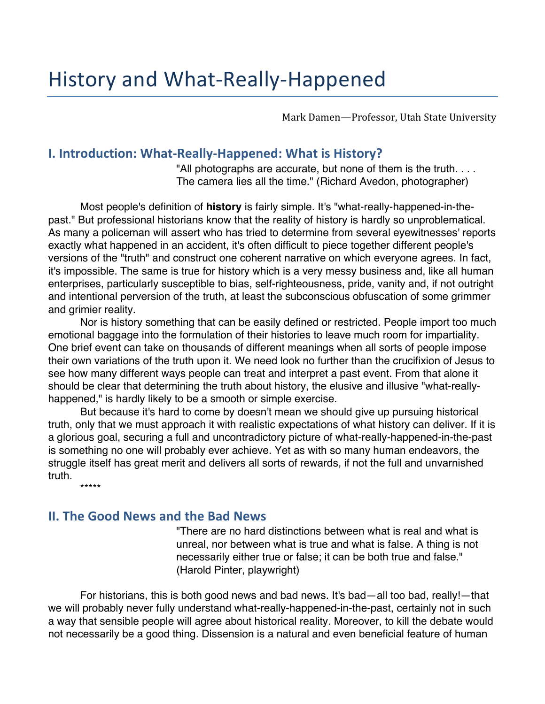Mark Damen-Professor, Utah State University

## **I. Introduction: What-Really-Happened: What is History?**

"All photographs are accurate, but none of them is the truth. . . . The camera lies all the time." (Richard Avedon, photographer)

Most people's definition of **history** is fairly simple. It's "what-really-happened-in-thepast." But professional historians know that the reality of history is hardly so unproblematical. As many a policeman will assert who has tried to determine from several eyewitnesses' reports exactly what happened in an accident, it's often difficult to piece together different people's versions of the "truth" and construct one coherent narrative on which everyone agrees. In fact, it's impossible. The same is true for history which is a very messy business and, like all human enterprises, particularly susceptible to bias, self-righteousness, pride, vanity and, if not outright and intentional perversion of the truth, at least the subconscious obfuscation of some grimmer and grimier reality.

Nor is history something that can be easily defined or restricted. People import too much emotional baggage into the formulation of their histories to leave much room for impartiality. One brief event can take on thousands of different meanings when all sorts of people impose their own variations of the truth upon it. We need look no further than the crucifixion of Jesus to see how many different ways people can treat and interpret a past event. From that alone it should be clear that determining the truth about history, the elusive and illusive "what-reallyhappened," is hardly likely to be a smooth or simple exercise.

But because it's hard to come by doesn't mean we should give up pursuing historical truth, only that we must approach it with realistic expectations of what history can deliver. If it is a glorious goal, securing a full and uncontradictory picture of what-really-happened-in-the-past is something no one will probably ever achieve. Yet as with so many human endeavors, the struggle itself has great merit and delivers all sorts of rewards, if not the full and unvarnished truth.

\*\*\*\*\*

# **II. The Good News and the Bad News**

"There are no hard distinctions between what is real and what is unreal, nor between what is true and what is false. A thing is not necessarily either true or false; it can be both true and false." (Harold Pinter, playwright)

For historians, this is both good news and bad news. It's bad—all too bad, really!—that we will probably never fully understand what-really-happened-in-the-past, certainly not in such a way that sensible people will agree about historical reality. Moreover, to kill the debate would not necessarily be a good thing. Dissension is a natural and even beneficial feature of human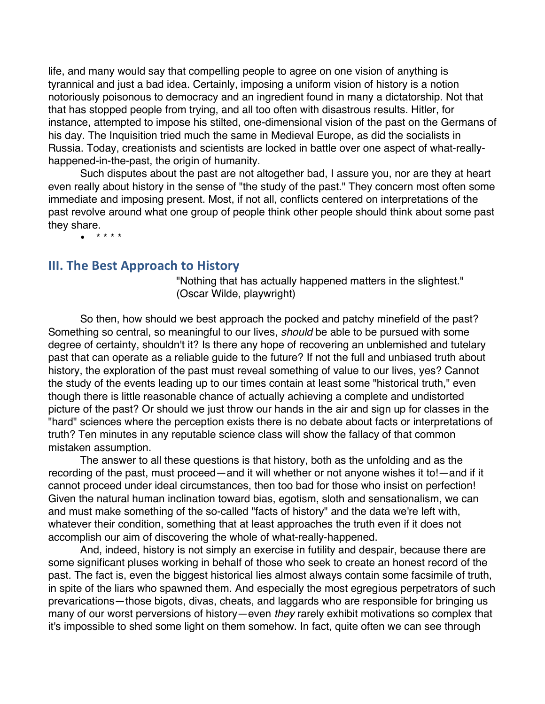life, and many would say that compelling people to agree on one vision of anything is tyrannical and just a bad idea. Certainly, imposing a uniform vision of history is a notion notoriously poisonous to democracy and an ingredient found in many a dictatorship. Not that that has stopped people from trying, and all too often with disastrous results. Hitler, for instance, attempted to impose his stilted, one-dimensional vision of the past on the Germans of his day. The Inquisition tried much the same in Medieval Europe, as did the socialists in Russia. Today, creationists and scientists are locked in battle over one aspect of what-reallyhappened-in-the-past, the origin of humanity.

Such disputes about the past are not altogether bad, I assure you, nor are they at heart even really about history in the sense of "the study of the past." They concern most often some immediate and imposing present. Most, if not all, conflicts centered on interpretations of the past revolve around what one group of people think other people should think about some past they share.

 $* * * * *$ 

## **III. The Best Approach to History**

"Nothing that has actually happened matters in the slightest." (Oscar Wilde, playwright)

So then, how should we best approach the pocked and patchy minefield of the past? Something so central, so meaningful to our lives, *should* be able to be pursued with some degree of certainty, shouldn't it? Is there any hope of recovering an unblemished and tutelary past that can operate as a reliable guide to the future? If not the full and unbiased truth about history, the exploration of the past must reveal something of value to our lives, yes? Cannot the study of the events leading up to our times contain at least some "historical truth," even though there is little reasonable chance of actually achieving a complete and undistorted picture of the past? Or should we just throw our hands in the air and sign up for classes in the "hard" sciences where the perception exists there is no debate about facts or interpretations of truth? Ten minutes in any reputable science class will show the fallacy of that common mistaken assumption.

The answer to all these questions is that history, both as the unfolding and as the recording of the past, must proceed—and it will whether or not anyone wishes it to!—and if it cannot proceed under ideal circumstances, then too bad for those who insist on perfection! Given the natural human inclination toward bias, egotism, sloth and sensationalism, we can and must make something of the so-called "facts of history" and the data we're left with, whatever their condition, something that at least approaches the truth even if it does not accomplish our aim of discovering the whole of what-really-happened.

And, indeed, history is not simply an exercise in futility and despair, because there are some significant pluses working in behalf of those who seek to create an honest record of the past. The fact is, even the biggest historical lies almost always contain some facsimile of truth, in spite of the liars who spawned them. And especially the most egregious perpetrators of such prevarications—those bigots, divas, cheats, and laggards who are responsible for bringing us many of our worst perversions of history—even *they* rarely exhibit motivations so complex that it's impossible to shed some light on them somehow. In fact, quite often we can see through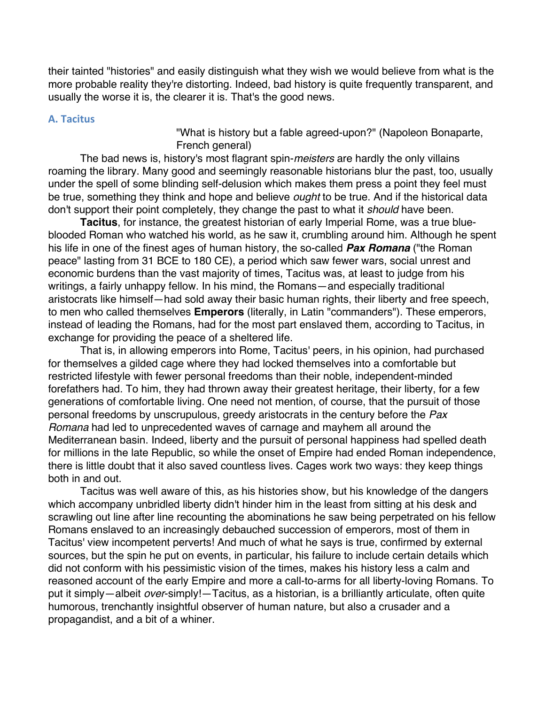their tainted "histories" and easily distinguish what they wish we would believe from what is the more probable reality they're distorting. Indeed, bad history is quite frequently transparent, and usually the worse it is, the clearer it is. That's the good news.

### **A. Tacitus**

"What is history but a fable agreed-upon?" (Napoleon Bonaparte, French general)

The bad news is, history's most flagrant spin-*meisters* are hardly the only villains roaming the library. Many good and seemingly reasonable historians blur the past, too, usually under the spell of some blinding self-delusion which makes them press a point they feel must be true, something they think and hope and believe *ought* to be true. And if the historical data don't support their point completely, they change the past to what it *should* have been.

**Tacitus**, for instance, the greatest historian of early Imperial Rome, was a true blueblooded Roman who watched his world, as he saw it, crumbling around him. Although he spent his life in one of the finest ages of human history, the so-called *Pax Romana* ("the Roman peace" lasting from 31 BCE to 180 CE), a period which saw fewer wars, social unrest and economic burdens than the vast majority of times, Tacitus was, at least to judge from his writings, a fairly unhappy fellow. In his mind, the Romans—and especially traditional aristocrats like himself—had sold away their basic human rights, their liberty and free speech, to men who called themselves **Emperors** (literally, in Latin "commanders"). These emperors, instead of leading the Romans, had for the most part enslaved them, according to Tacitus, in exchange for providing the peace of a sheltered life.

That is, in allowing emperors into Rome, Tacitus' peers, in his opinion, had purchased for themselves a gilded cage where they had locked themselves into a comfortable but restricted lifestyle with fewer personal freedoms than their noble, independent-minded forefathers had. To him, they had thrown away their greatest heritage, their liberty, for a few generations of comfortable living. One need not mention, of course, that the pursuit of those personal freedoms by unscrupulous, greedy aristocrats in the century before the *Pax Romana* had led to unprecedented waves of carnage and mayhem all around the Mediterranean basin. Indeed, liberty and the pursuit of personal happiness had spelled death for millions in the late Republic, so while the onset of Empire had ended Roman independence, there is little doubt that it also saved countless lives. Cages work two ways: they keep things both in and out.

Tacitus was well aware of this, as his histories show, but his knowledge of the dangers which accompany unbridled liberty didn't hinder him in the least from sitting at his desk and scrawling out line after line recounting the abominations he saw being perpetrated on his fellow Romans enslaved to an increasingly debauched succession of emperors, most of them in Tacitus' view incompetent perverts! And much of what he says is true, confirmed by external sources, but the spin he put on events, in particular, his failure to include certain details which did not conform with his pessimistic vision of the times, makes his history less a calm and reasoned account of the early Empire and more a call-to-arms for all liberty-loving Romans. To put it simply—albeit *over*-simply!—Tacitus, as a historian, is a brilliantly articulate, often quite humorous, trenchantly insightful observer of human nature, but also a crusader and a propagandist, and a bit of a whiner.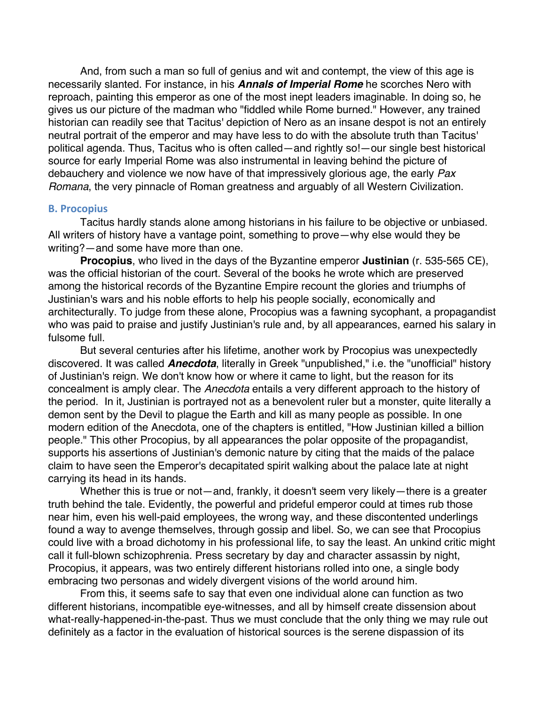And, from such a man so full of genius and wit and contempt, the view of this age is necessarily slanted. For instance, in his *Annals of Imperial Rome* he scorches Nero with reproach, painting this emperor as one of the most inept leaders imaginable. In doing so, he gives us our picture of the madman who "fiddled while Rome burned." However, any trained historian can readily see that Tacitus' depiction of Nero as an insane despot is not an entirely neutral portrait of the emperor and may have less to do with the absolute truth than Tacitus' political agenda. Thus, Tacitus who is often called—and rightly so!—our single best historical source for early Imperial Rome was also instrumental in leaving behind the picture of debauchery and violence we now have of that impressively glorious age, the early *Pax Romana*, the very pinnacle of Roman greatness and arguably of all Western Civilization.

#### **B. Procopius**

Tacitus hardly stands alone among historians in his failure to be objective or unbiased. All writers of history have a vantage point, something to prove—why else would they be writing?—and some have more than one.

**Procopius**, who lived in the days of the Byzantine emperor **Justinian** (r. 535-565 CE), was the official historian of the court. Several of the books he wrote which are preserved among the historical records of the Byzantine Empire recount the glories and triumphs of Justinian's wars and his noble efforts to help his people socially, economically and architecturally. To judge from these alone, Procopius was a fawning sycophant, a propagandist who was paid to praise and justify Justinian's rule and, by all appearances, earned his salary in fulsome full.

But several centuries after his lifetime, another work by Procopius was unexpectedly discovered. It was called *Anecdota*, literally in Greek "unpublished," i.e. the "unofficial" history of Justinian's reign. We don't know how or where it came to light, but the reason for its concealment is amply clear. The *Anecdota* entails a very different approach to the history of the period. In it, Justinian is portrayed not as a benevolent ruler but a monster, quite literally a demon sent by the Devil to plague the Earth and kill as many people as possible. In one modern edition of the Anecdota, one of the chapters is entitled, "How Justinian killed a billion people." This other Procopius, by all appearances the polar opposite of the propagandist, supports his assertions of Justinian's demonic nature by citing that the maids of the palace claim to have seen the Emperor's decapitated spirit walking about the palace late at night carrying its head in its hands.

Whether this is true or not—and, frankly, it doesn't seem very likely—there is a greater truth behind the tale. Evidently, the powerful and prideful emperor could at times rub those near him, even his well-paid employees, the wrong way, and these discontented underlings found a way to avenge themselves, through gossip and libel. So, we can see that Procopius could live with a broad dichotomy in his professional life, to say the least. An unkind critic might call it full-blown schizophrenia. Press secretary by day and character assassin by night, Procopius, it appears, was two entirely different historians rolled into one, a single body embracing two personas and widely divergent visions of the world around him.

From this, it seems safe to say that even one individual alone can function as two different historians, incompatible eye-witnesses, and all by himself create dissension about what-really-happened-in-the-past. Thus we must conclude that the only thing we may rule out definitely as a factor in the evaluation of historical sources is the serene dispassion of its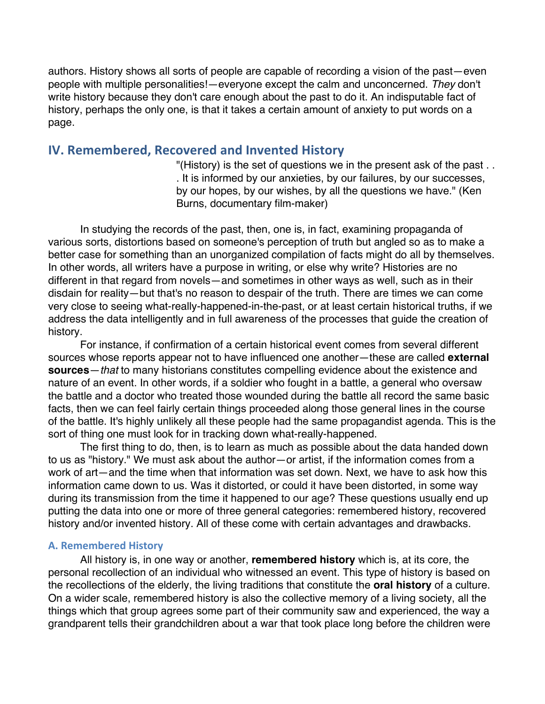authors. History shows all sorts of people are capable of recording a vision of the past—even people with multiple personalities!—everyone except the calm and unconcerned. *They* don't write history because they don't care enough about the past to do it. An indisputable fact of history, perhaps the only one, is that it takes a certain amount of anxiety to put words on a page.

## **IV. Remembered, Recovered and Invented History**

"(History) is the set of questions we in the present ask of the past . . . It is informed by our anxieties, by our failures, by our successes, by our hopes, by our wishes, by all the questions we have." (Ken Burns, documentary film-maker)

In studying the records of the past, then, one is, in fact, examining propaganda of various sorts, distortions based on someone's perception of truth but angled so as to make a better case for something than an unorganized compilation of facts might do all by themselves. In other words, all writers have a purpose in writing, or else why write? Histories are no different in that regard from novels—and sometimes in other ways as well, such as in their disdain for reality—but that's no reason to despair of the truth. There are times we can come very close to seeing what-really-happened-in-the-past, or at least certain historical truths, if we address the data intelligently and in full awareness of the processes that guide the creation of history.

For instance, if confirmation of a certain historical event comes from several different sources whose reports appear not to have influenced one another—these are called **external sources**—*that* to many historians constitutes compelling evidence about the existence and nature of an event. In other words, if a soldier who fought in a battle, a general who oversaw the battle and a doctor who treated those wounded during the battle all record the same basic facts, then we can feel fairly certain things proceeded along those general lines in the course of the battle. It's highly unlikely all these people had the same propagandist agenda. This is the sort of thing one must look for in tracking down what-really-happened.

The first thing to do, then, is to learn as much as possible about the data handed down to us as "history." We must ask about the author—or artist, if the information comes from a work of art—and the time when that information was set down. Next, we have to ask how this information came down to us. Was it distorted, or could it have been distorted, in some way during its transmission from the time it happened to our age? These questions usually end up putting the data into one or more of three general categories: remembered history, recovered history and/or invented history. All of these come with certain advantages and drawbacks.

### **A. Remembered History**

All history is, in one way or another, **remembered history** which is, at its core, the personal recollection of an individual who witnessed an event. This type of history is based on the recollections of the elderly, the living traditions that constitute the **oral history** of a culture. On a wider scale, remembered history is also the collective memory of a living society, all the things which that group agrees some part of their community saw and experienced, the way a grandparent tells their grandchildren about a war that took place long before the children were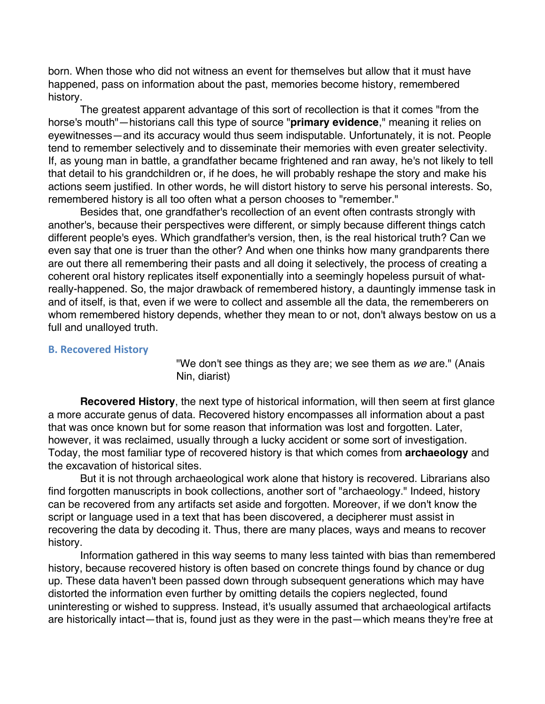born. When those who did not witness an event for themselves but allow that it must have happened, pass on information about the past, memories become history, remembered history.

The greatest apparent advantage of this sort of recollection is that it comes "from the horse's mouth"—historians call this type of source "**primary evidence**," meaning it relies on eyewitnesses—and its accuracy would thus seem indisputable. Unfortunately, it is not. People tend to remember selectively and to disseminate their memories with even greater selectivity. If, as young man in battle, a grandfather became frightened and ran away, he's not likely to tell that detail to his grandchildren or, if he does, he will probably reshape the story and make his actions seem justified. In other words, he will distort history to serve his personal interests. So, remembered history is all too often what a person chooses to "remember."

Besides that, one grandfather's recollection of an event often contrasts strongly with another's, because their perspectives were different, or simply because different things catch different people's eyes. Which grandfather's version, then, is the real historical truth? Can we even say that one is truer than the other? And when one thinks how many grandparents there are out there all remembering their pasts and all doing it selectively, the process of creating a coherent oral history replicates itself exponentially into a seemingly hopeless pursuit of whatreally-happened. So, the major drawback of remembered history, a dauntingly immense task in and of itself, is that, even if we were to collect and assemble all the data, the rememberers on whom remembered history depends, whether they mean to or not, don't always bestow on us a full and unalloyed truth.

#### **B. Recovered History**

"We don't see things as they are; we see them as *we* are." (Anais Nin, diarist)

**Recovered History**, the next type of historical information, will then seem at first glance a more accurate genus of data. Recovered history encompasses all information about a past that was once known but for some reason that information was lost and forgotten. Later, however, it was reclaimed, usually through a lucky accident or some sort of investigation. Today, the most familiar type of recovered history is that which comes from **archaeology** and the excavation of historical sites.

But it is not through archaeological work alone that history is recovered. Librarians also find forgotten manuscripts in book collections, another sort of "archaeology." Indeed, history can be recovered from any artifacts set aside and forgotten. Moreover, if we don't know the script or language used in a text that has been discovered, a decipherer must assist in recovering the data by decoding it. Thus, there are many places, ways and means to recover history.

Information gathered in this way seems to many less tainted with bias than remembered history, because recovered history is often based on concrete things found by chance or dug up. These data haven't been passed down through subsequent generations which may have distorted the information even further by omitting details the copiers neglected, found uninteresting or wished to suppress. Instead, it's usually assumed that archaeological artifacts are historically intact—that is, found just as they were in the past—which means they're free at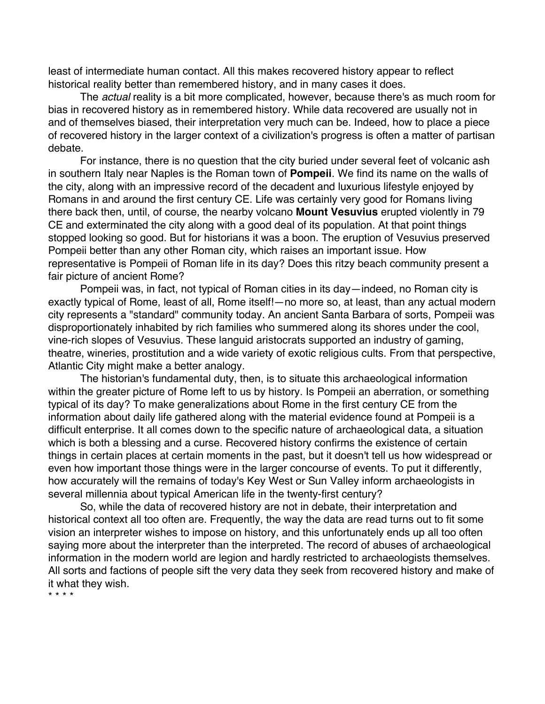least of intermediate human contact. All this makes recovered history appear to reflect historical reality better than remembered history, and in many cases it does.

The *actual* reality is a bit more complicated, however, because there's as much room for bias in recovered history as in remembered history. While data recovered are usually not in and of themselves biased, their interpretation very much can be. Indeed, how to place a piece of recovered history in the larger context of a civilization's progress is often a matter of partisan debate.

For instance, there is no question that the city buried under several feet of volcanic ash in southern Italy near Naples is the Roman town of **Pompeii**. We find its name on the walls of the city, along with an impressive record of the decadent and luxurious lifestyle enjoyed by Romans in and around the first century CE. Life was certainly very good for Romans living there back then, until, of course, the nearby volcano **Mount Vesuvius** erupted violently in 79 CE and exterminated the city along with a good deal of its population. At that point things stopped looking so good. But for historians it was a boon. The eruption of Vesuvius preserved Pompeii better than any other Roman city, which raises an important issue. How representative is Pompeii of Roman life in its day? Does this ritzy beach community present a fair picture of ancient Rome?

Pompeii was, in fact, not typical of Roman cities in its day—indeed, no Roman city is exactly typical of Rome, least of all, Rome itself!—no more so, at least, than any actual modern city represents a "standard" community today. An ancient Santa Barbara of sorts, Pompeii was disproportionately inhabited by rich families who summered along its shores under the cool, vine-rich slopes of Vesuvius. These languid aristocrats supported an industry of gaming, theatre, wineries, prostitution and a wide variety of exotic religious cults. From that perspective, Atlantic City might make a better analogy.

The historian's fundamental duty, then, is to situate this archaeological information within the greater picture of Rome left to us by history. Is Pompeii an aberration, or something typical of its day? To make generalizations about Rome in the first century CE from the information about daily life gathered along with the material evidence found at Pompeii is a difficult enterprise. It all comes down to the specific nature of archaeological data, a situation which is both a blessing and a curse. Recovered history confirms the existence of certain things in certain places at certain moments in the past, but it doesn't tell us how widespread or even how important those things were in the larger concourse of events. To put it differently, how accurately will the remains of today's Key West or Sun Valley inform archaeologists in several millennia about typical American life in the twenty-first century?

So, while the data of recovered history are not in debate, their interpretation and historical context all too often are. Frequently, the way the data are read turns out to fit some vision an interpreter wishes to impose on history, and this unfortunately ends up all too often saying more about the interpreter than the interpreted. The record of abuses of archaeological information in the modern world are legion and hardly restricted to archaeologists themselves. All sorts and factions of people sift the very data they seek from recovered history and make of it what they wish.

\* \* \* \*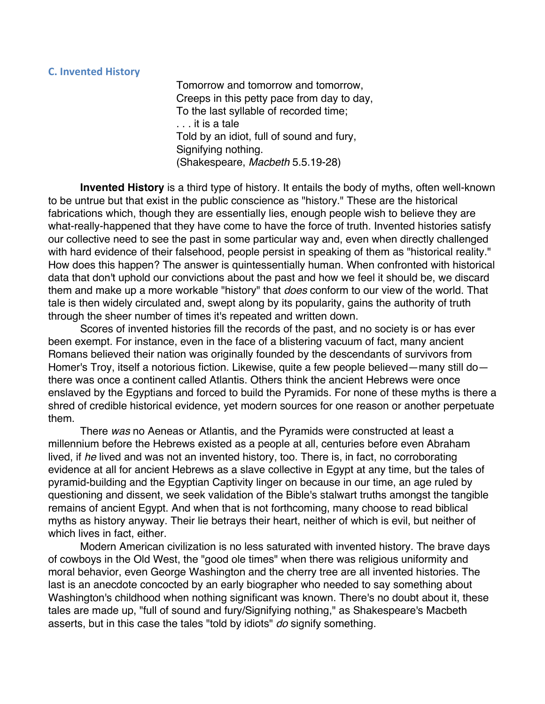## **C. Invented History**

Tomorrow and tomorrow and tomorrow, Creeps in this petty pace from day to day, To the last syllable of recorded time; . . . it is a tale Told by an idiot, full of sound and fury, Signifying nothing. (Shakespeare, *Macbeth* 5.5.19-28)

**Invented History** is a third type of history. It entails the body of myths, often well-known to be untrue but that exist in the public conscience as "history." These are the historical fabrications which, though they are essentially lies, enough people wish to believe they are what-really-happened that they have come to have the force of truth. Invented histories satisfy our collective need to see the past in some particular way and, even when directly challenged with hard evidence of their falsehood, people persist in speaking of them as "historical reality." How does this happen? The answer is quintessentially human. When confronted with historical data that don't uphold our convictions about the past and how we feel it should be, we discard them and make up a more workable "history" that *does* conform to our view of the world. That tale is then widely circulated and, swept along by its popularity, gains the authority of truth through the sheer number of times it's repeated and written down.

Scores of invented histories fill the records of the past, and no society is or has ever been exempt. For instance, even in the face of a blistering vacuum of fact, many ancient Romans believed their nation was originally founded by the descendants of survivors from Homer's Troy, itself a notorious fiction. Likewise, quite a few people believed—many still do there was once a continent called Atlantis. Others think the ancient Hebrews were once enslaved by the Egyptians and forced to build the Pyramids. For none of these myths is there a shred of credible historical evidence, yet modern sources for one reason or another perpetuate them.

There *was* no Aeneas or Atlantis, and the Pyramids were constructed at least a millennium before the Hebrews existed as a people at all, centuries before even Abraham lived, if *he* lived and was not an invented history, too. There is, in fact, no corroborating evidence at all for ancient Hebrews as a slave collective in Egypt at any time, but the tales of pyramid-building and the Egyptian Captivity linger on because in our time, an age ruled by questioning and dissent, we seek validation of the Bible's stalwart truths amongst the tangible remains of ancient Egypt. And when that is not forthcoming, many choose to read biblical myths as history anyway. Their lie betrays their heart, neither of which is evil, but neither of which lives in fact, either.

Modern American civilization is no less saturated with invented history. The brave days of cowboys in the Old West, the "good ole times" when there was religious uniformity and moral behavior, even George Washington and the cherry tree are all invented histories. The last is an anecdote concocted by an early biographer who needed to say something about Washington's childhood when nothing significant was known. There's no doubt about it, these tales are made up, "full of sound and fury/Signifying nothing," as Shakespeare's Macbeth asserts, but in this case the tales "told by idiots" *do* signify something.